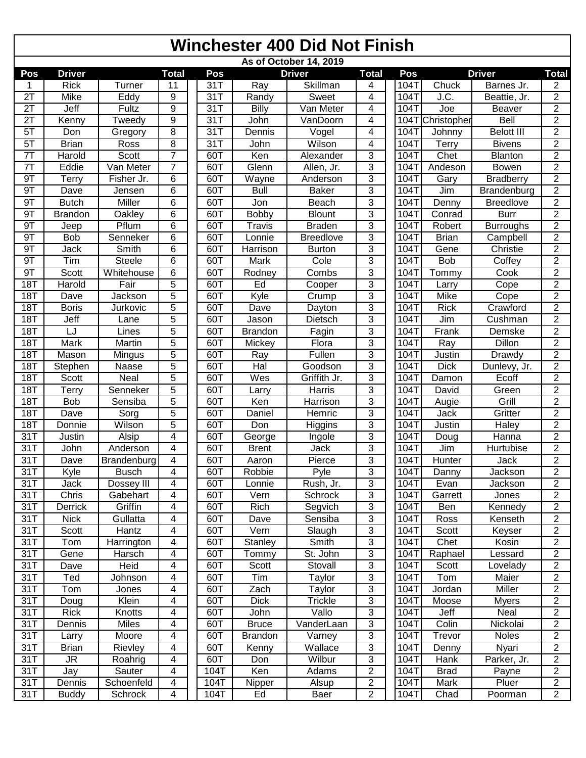## **Winchester 400 Did Not Finish**

| As of October 14, 2019 |                |               |                         |  |      |                |                  |                |  |                              |               |                   |                         |
|------------------------|----------------|---------------|-------------------------|--|------|----------------|------------------|----------------|--|------------------------------|---------------|-------------------|-------------------------|
| Pos                    | <b>Driver</b>  |               | Total                   |  | Pos  |                | <b>Driver</b>    | <b>Total</b>   |  | Pos                          |               | <b>Driver</b>     | <b>Total</b>            |
|                        | <b>Rick</b>    | Turner        | 11                      |  | 31T  | Ray            | Skillman         | 4              |  | 104T                         | Chuck         | Barnes Jr.        | 2                       |
| $\overline{2T}$        | Mike           | Eddy          | 9                       |  | 31T  | Randy          | Sweet            | 4              |  | 104T                         | J.C.          | Beattie, Jr.      | $\overline{2}$          |
| $\overline{2T}$        | Jeff           | Fultz         | $\overline{9}$          |  | 31T  | Billy          | Van Meter        | 4              |  | 104T                         | Joe           | Beaver            | $\overline{2}$          |
| 2T                     | Kenny          | Tweedy        | 9                       |  | 31T  | John           | VanDoorn         | 4              |  | 104T                         | Christopher   | <b>Bell</b>       | $\overline{2}$          |
| $5\overline{1}$        | Don            | Gregory       | 8                       |  | 31T  | Dennis         | Vogel            | 4              |  | 104T                         | Johnny        | <b>Belott III</b> | $\overline{2}$          |
| 5T                     | <b>Brian</b>   | Ross          | 8                       |  | 31T  | John           | Wilson           | 4              |  | 104T                         | Terry         | <b>Bivens</b>     | $\overline{2}$          |
| 7T                     | Harold         | Scott         | $\overline{7}$          |  | 60T  | Ken            | Alexander        | 3              |  | 104T                         | Chet          | <b>Blanton</b>    | $\overline{2}$          |
| $\overline{7}$         | Eddie          | Van Meter     | $\overline{7}$          |  | 60T  | Glenn          | Allen, Jr.       | $\overline{3}$ |  | 104T                         | Andeson       | <b>Bowen</b>      | $\overline{2}$          |
| 9T                     | Terry          | Fisher Jr.    | 6                       |  | 60T  | Wayne          | Anderson         | $\overline{3}$ |  | 104T                         | Gary          | <b>Bradberry</b>  | $\overline{2}$          |
| 9T                     | Dave           | Jensen        | 6                       |  | 60T  | <b>Bull</b>    | <b>Baker</b>     | $\overline{3}$ |  | 104T                         | Jim           | Brandenburg       | $\overline{2}$          |
| 9T                     | <b>Butch</b>   | <b>Miller</b> | 6                       |  | 60T  | Jon            | Beach            | $\overline{3}$ |  | 104T                         | Denny         | <b>Breedlove</b>  | $\overline{2}$          |
| 9T                     | <b>Brandon</b> | Oakley        | 6                       |  | 60T  | Bobby          | <b>Blount</b>    | 3              |  | 104T                         | Conrad        | <b>Burr</b>       | $\overline{2}$          |
| 9T                     | Jeep           | Pflum         | 6                       |  | 60T  | <b>Travis</b>  | <b>Braden</b>    | 3              |  | 104T                         | Robert        | <b>Burroughs</b>  | $\overline{2}$          |
| 9T                     | <b>Bob</b>     | Senneker      | 6                       |  | 60T  | Lonnie         | <b>Breedlove</b> | 3              |  | 104T                         | <b>Brian</b>  | Campbell          | $\overline{2}$          |
| 9T                     | Jack           | Smith         | 6                       |  | 60T  | Harrison       | <b>Burton</b>    | $\overline{3}$ |  | 104T                         | Gene          | Christie          | $\overline{2}$          |
| 9T                     | Tim            | <b>Steele</b> | 6                       |  | 60T  | Mark           | Cole             | $\overline{3}$ |  | $104$ T                      | <b>Bob</b>    | Coffey            | $\overline{2}$          |
| 9T                     | Scott          | Whitehouse    | 6                       |  | 60T  | Rodney         | Combs            | 3              |  | 104T                         | Tommy         | Cook              | $\overline{2}$          |
| <b>18T</b>             | Harold         | Fair          | 5                       |  | 60T  | Ed             | Cooper           | 3              |  | 104T                         | Larry         | Cope              | $\overline{2}$          |
| <b>18T</b>             | Dave           | Jackson       | $\overline{5}$          |  | 60T  | Kyle           | Crump            | $\overline{3}$ |  | 104T                         | Mike          | Cope              | $\overline{2}$          |
| <b>18T</b>             | <b>Boris</b>   | Jurkovic      | $\overline{5}$          |  | 60T  | Dave           | Dayton           | $\overline{3}$ |  | 104T                         | <b>Rick</b>   | Crawford          | $\overline{2}$          |
| <b>18T</b>             | Jeff           | Lane          | $\overline{5}$          |  | 60T  | Jason          | Dietsch          | $\overline{3}$ |  | 104T                         | Jim           | Cushman           | $\overline{2}$          |
| <b>18T</b>             | LJ             | Lines         | $\overline{5}$          |  | 60T  | <b>Brandon</b> | Fagin            | $\overline{3}$ |  | $10\overline{4}\overline{1}$ | Frank         | Demske            | $\overline{2}$          |
| <b>18T</b>             | Mark           | Martin        | 5                       |  | 60T  | Mickey         | Flora            | $\overline{3}$ |  | 104T                         | Ray           | Dillon            | $\overline{2}$          |
| <b>18T</b>             | Mason          | Mingus        | 5                       |  | 60T  | Ray            | Fullen           | 3              |  | 104T                         | Justin        | Drawdy            | $\overline{2}$          |
| <b>18T</b>             | Stephen        | Naase         | $\overline{5}$          |  | 60T  | Hal            | Goodson          | 3              |  | 104T                         | <b>Dick</b>   | Dunlevy, Jr.      | $\overline{2}$          |
| <b>18T</b>             | Scott          | Neal          | $\overline{5}$          |  | 60T  | Wes            | Griffith Jr.     | 3              |  | 104T                         | Damon         | Ecoff             | $\overline{c}$          |
| 18T                    | Terry          | Senneker      | $\overline{5}$          |  | 60T  | Larry          | Harris           | $\overline{3}$ |  | 104T                         | David         | Green             | $\overline{2}$          |
| <b>18T</b>             | Bob            | Sensiba       | $\overline{5}$          |  | 60T  | Ken            | Harrison         | 3              |  | 104T                         | Augie         | Grill             | $\overline{2}$          |
| <b>18T</b>             | Dave           | Sorg          | 5                       |  | 60T  | Daniel         | Hemric           | 3              |  | 104T                         | Jack          | Gritter           | $\overline{2}$          |
| <b>18T</b>             | Donnie         | Wilson        | $\overline{5}$          |  | 60T  | Don            | Higgins          | 3              |  | 104T                         | <b>Justin</b> | Haley             | $\overline{2}$          |
| 31T                    | Justin         | Alsip         | 4                       |  | 60T  | George         | Ingole           | 3              |  | 104T                         | Doug          | <b>Hanna</b>      | $\overline{2}$          |
| 31T                    | John           | Anderson      | 4                       |  | 60T  | <b>Brent</b>   | <b>Jack</b>      | 3              |  | 104T                         | Jim           | Hurtubise         | $\overline{2}$          |
| 31T                    | Dave           | Brandenburg   | 4                       |  | 60T  | Aaron          | Pierce           | $\overline{3}$ |  | 104T                         | Hunter        | <b>Jack</b>       | $\overline{2}$          |
| 31T                    | Kyle           | <b>Busch</b>  | 4                       |  | 60T  | Robbie         | Pyle             | 3              |  | 104T                         | Danny         | Jackson           | $\overline{2}$          |
| 31T                    | Jack           | Dossey III    | 4                       |  | 60T  | Lonnie         | Rush, Jr.        | 3              |  | 104T                         | Evan          | Jackson           | $\overline{\mathbf{c}}$ |
| 31T                    | Chris          | Gabehart      | 4                       |  | 60T  | Vern           | Schrock          | 3              |  | 104T                         | Garrett       | Jones             | 2                       |
| 31T                    | Derrick        | Griffin       | 4                       |  | 60T  | Rich           | Segvich          | 3              |  | 104T                         | Ben           | Kennedy           | $\overline{2}$          |
| 31T                    | <b>Nick</b>    | Gullatta      | 4                       |  | 60T  | Dave           | Sensiba          | 3              |  | 104T                         | Ross          | Kenseth           | $\overline{c}$          |
| 31T                    | Scott          | Hantz         | $\overline{\mathbf{4}}$ |  | 60T  | Vern           | Slaugh           | 3              |  | 104T                         | Scott         | Keyser            | $\overline{2}$          |
| 31T                    | Tom            | Harrington    | 4                       |  | 60T  | Stanley        | Smith            | 3              |  | 104T                         | Chet          | Kosin             | $\overline{2}$          |
| 31T                    | Gene           | Harsch        | 4                       |  | 60T  | Tommy          | St. John         | 3              |  | 104T                         | Raphael       | Lessard           | $\overline{c}$          |
| 31T                    | Dave           | Heid          | 4                       |  | 60T  | Scott          | Stovall          | 3              |  | 104T                         | Scott         | Lovelady          | $\overline{c}$          |
| 31T                    | Ted            | Johnson       | 4                       |  | 60T  | Tim            | Taylor           | 3              |  | 104T                         | Tom           | Maier             | $\overline{2}$          |
| 31T                    | Tom            | Jones         | 4                       |  | 60T  | Zach           | Taylor           | 3              |  | 104T                         | Jordan        | Miller            | 2                       |
| 31T                    | Doug           | Klein         | 4                       |  | 60T  | <b>Dick</b>    | <b>Trickle</b>   | $\overline{3}$ |  | 104T                         | Moose         | <b>Myers</b>      | $\overline{2}$          |
| 31T                    | <b>Rick</b>    | Knotts        | 4                       |  | 60T  | John           | Vallo            | $\overline{3}$ |  | 104T                         | Jeff          | Neal              | $\overline{2}$          |
| 31T                    | Dennis         | Miles         | 4                       |  | 60T  | <b>Bruce</b>   | VanderLaan       | $\overline{3}$ |  | 104T                         | Colin         | Nickolai          | $\overline{2}$          |
| 31T                    | Larry          | Moore         | 4                       |  | 60T  | <b>Brandon</b> | Varney           | 3              |  | 104T                         | Trevor        | <b>Noles</b>      | $\overline{a}$          |
| 31T                    | <b>Brian</b>   | Rievley       | 4                       |  | 60T  | Kenny          | Wallace          | $\mathfrak{S}$ |  | 104T                         | Denny         | Nyari             | $\overline{2}$          |
| 31T                    | JR             | Roahrig       | 4                       |  | 60T  | Don            | Wilbur           | 3              |  | 104T                         | Hank          | Parker, Jr.       | $\overline{a}$          |
| 31T                    | Jay            | Sauter        | 4                       |  | 104T | Ken            | Adams            | $\overline{2}$ |  | 104T                         | <b>Brad</b>   | Payne             | $\overline{2}$          |
| 31T                    | Dennis         | Schoenfeld    | 4                       |  | 104T | Nipper         | Alsup            | $\overline{2}$ |  | 104T                         | Mark          | Pluer             | $\overline{2}$          |
| 31T                    | <b>Buddy</b>   | Schrock       | 4                       |  | 104T | Ed             | Baer             | $\overline{2}$ |  | 104T                         | Chad          | Poorman           | $\overline{2}$          |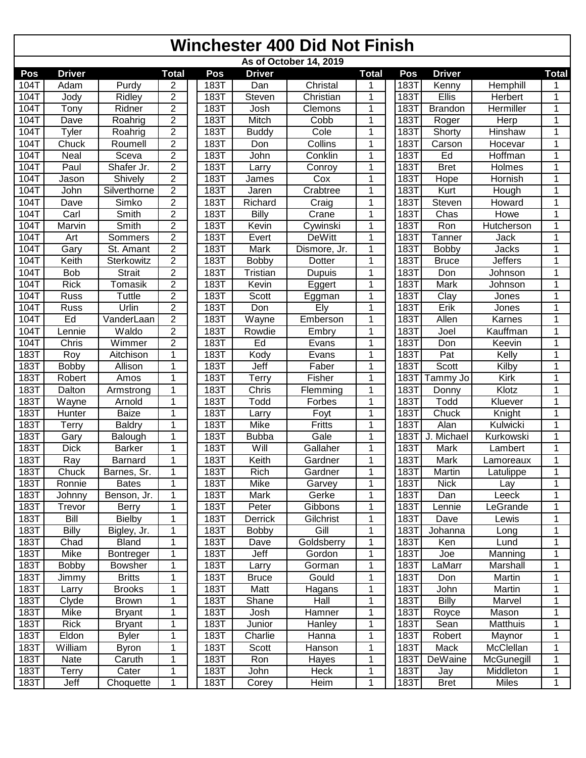## **Winchester 400 Did Not Finish**

|      | As of October 14, 2019 |                  |                |  |      |               |               |                |  |             |                    |                   |              |
|------|------------------------|------------------|----------------|--|------|---------------|---------------|----------------|--|-------------|--------------------|-------------------|--------------|
| Pos  | <b>Driver</b>          |                  | <b>Total</b>   |  | Pos  | <b>Driver</b> |               | <b>Total</b>   |  | Pos         | <b>Driver</b>      |                   | <b>Total</b> |
| 104T | Adam                   | Purdy            | 2              |  | 183T | Dan           | Christal      | 1              |  | 183T        | Kenny              | Hemphill          | 1            |
| 104T | Jody                   | Ridley           | 2              |  | 183T | Steven        | Christian     | 1              |  | 183T        | Ellis              | Herbert           | 1            |
| 104T | Tony                   | Ridner           | $\overline{2}$ |  | 183T | Josh          | Clemons       | 1              |  | 1831        | <b>Brandon</b>     | <b>Hermiller</b>  | 1            |
| 104T | Dave                   | Roahrig          | $\overline{2}$ |  | 183T | Mitch         | Cobb          | $\mathbf{1}$   |  | 183T        | Roger              | Herp              | 1            |
| 104T | Tyler                  | Roahrig          | $\overline{2}$ |  | 183T | <b>Buddy</b>  | Cole          | 1              |  | 183T        | Shorty             | <b>Hinshaw</b>    | 1            |
| 104T | Chuck                  | Roumell          | $\overline{2}$ |  | 183T | Don           | Collins       | 1              |  | 183T        | Carson             | Hocevar           | 1            |
| 104T | Neal                   | Sceva            | $\overline{2}$ |  | 183T | John          | Conklin       | 1              |  | <b>183T</b> | Ed                 | Hoffman           | 1            |
| 104T | Paul                   | Shafer Jr.       | $\overline{2}$ |  | 183T | Larry         | Conroy        | 1              |  | 183T        | <b>Bret</b>        | Holmes            | 1            |
| 104T | Jason                  | Shively          | $\overline{c}$ |  | 183T | James         | Cox           | 1              |  | <b>183T</b> | Hope               | Hornish           | 1            |
| 104T | John                   | Silverthorne     | $\overline{2}$ |  | 183T | Jaren         | Crabtree      | $\mathbf{1}$   |  | 183T        | Kurt               | Hough             | 1            |
| 104T | Dave                   | Simko            | $\overline{2}$ |  | 183T | Richard       | Craig         | 1              |  | <b>183T</b> | Steven             | Howard            | 1            |
| 104T | Carl                   | Smith            | $\overline{2}$ |  | 183T | Billy         | Crane         | $\mathbf{1}$   |  | 183T        | Chas               | Howe              | 1            |
| 104T | Marvin                 | Smith            | $\overline{2}$ |  | 183T | Kevin         | Cywinski      | 1              |  | 183T        | Ron                | <b>Hutcherson</b> | 1            |
| 104T | Art                    | Sommers          | $\overline{2}$ |  | 183T | Evert         | DeWitt        | 1              |  | <b>183T</b> | Tanner             | Jack              | 1            |
| 104T | Gary                   | St. Amant        | $\overline{2}$ |  | 183T | Mark          | Dismore, Jr.  | 1              |  | 183T        | <b>Bobby</b>       | Jacks             | 1            |
| 104T | Keith                  | Sterkowitz       | $\overline{2}$ |  | 183T | <b>Bobby</b>  | Dotter        | $\overline{1}$ |  | 183T        | <b>Bruce</b>       | <b>Jeffers</b>    | 1            |
| 104T | <b>Bob</b>             | Strait           | $\overline{2}$ |  | 183T | Tristian      | <b>Dupuis</b> | 1              |  | <b>183T</b> | Don                | Johnson           |              |
| 104T | <b>Rick</b>            | Tomasik          | $\overline{c}$ |  | 183T | Kevin         | Eggert        | 1              |  | 183T        | Mark               | Johnson           | 1            |
| 104T | <b>Russ</b>            | Tuttle           | $\overline{c}$ |  | 183T | Scott         | Eggman        | 1              |  | 183T        | $\overline{Cl}$ ay | Jones             | 1            |
| 104T | <b>Russ</b>            | Urlin            | $\overline{2}$ |  | 183T | Don           | Ely           | 1              |  | 183T        | Erik               | Jones             | 1            |
| 104T | Ed                     | VanderLaan       | $\overline{c}$ |  | 183T | Wayne         | Emberson      | 1              |  | 183T        | Allen              | Karnes            |              |
| 104T | Lennie                 | Waldo            | $\overline{2}$ |  | 183T | Rowdie        | Embry         | 1              |  | 183T        | Joel               | Kauffman          | 1            |
| 104T | Chris                  | Wimmer           | $\overline{2}$ |  | 183T | Ed            | Evans         | 1              |  | 183T        | Don                | Keevin            |              |
| 183T | Roy                    | Aitchison        | 1              |  | 183T | Kody          | Evans         | 1              |  | 183T        | Pat                | Kelly             | 1            |
| 183T | <b>Bobby</b>           | Allison          | 1              |  | 183T | Jeff          | Faber         | 1              |  | <b>183T</b> | Scott              | Kilby             | 1            |
| 183T | Robert                 | Amos             | 1              |  | 183T | Terry         | Fisher        | 1              |  | <b>183T</b> | Tammy Jo           | Kirk              | 1            |
| 183T | Dalton                 | Armstrong        | 1              |  | 183T | Chris         | Flemming      | 1              |  | <b>183T</b> | Donny              | Klotz             | 1            |
| 183T | Wayne                  | Arnold           | 1              |  | 183T | Todd          | Forbes        | 1              |  | <b>183T</b> | Todd               | Kluever           | 1            |
| 183T | Hunter                 | <b>Baize</b>     | $\mathbf{1}$   |  | 183T | Larry         | Foyt          | 1              |  | 183T        | Chuck              | Knight            | 1            |
| 183T | Terry                  | <b>Baldry</b>    | 1              |  | 183T | Mike          | Fritts        | 1              |  | <b>183T</b> | Alan               | Kulwicki          | 1            |
| 183T | Gary                   | <b>Balough</b>   | 1              |  | 183T | <b>Bubba</b>  | Gale          | 1              |  | 1831        | Michael<br>J.      | Kurkowski         | 1            |
| 183T | <b>Dick</b>            | <b>Barker</b>    | 1              |  | 183T | Will          | Gallaher      | 1              |  | <b>183T</b> | Mark               | Lambert           | 1            |
| 183T | Ray                    | Barnard          | 1              |  | 183T | Keith         | Gardner       | 1              |  | 183T        | Mark               | Lamoreaux         | 1            |
| 183T | Chuck                  | Barnes, Sr.      | 1              |  | 183T | <b>Rich</b>   | Gardner       | 1              |  | 183T        | Martin             | Latulippe         | 1            |
| 183T | Ronnie                 | <b>Bates</b>     | $\mathbf{1}$   |  | 183T | Mike          | Garvey        | 1              |  | 183T        | <b>Nick</b>        | Lay               | $\mathbf 1$  |
| 183T | Johnny                 | Benson, Jr.      | 1              |  | 183T | Mark          | Gerke         | 1              |  | 183T        | Dan                | Leeck             | 1            |
| 183T | Trevor                 | <b>Berry</b>     | 1              |  | 183T | Peter         | Gibbons       | 1              |  | 183T        | Lennie             | LeGrande          | 1            |
| 183T | Bill                   | <b>Bielby</b>    | 1              |  | 183T | Derrick       | Gilchrist     | 1              |  | 183T        | Dave               | Lewis             | 1            |
| 183T | Billy                  | Bigley, Jr.      | 1              |  | 183T | <b>Bobby</b>  | Gill          | 1              |  | 183T        | Johanna            | Long              | 1            |
| 183T | Chad                   | <b>Bland</b>     | 1              |  | 183T | Dave          | Goldsberry    | 1              |  | 183T        | Ken                | Lund              | 1            |
| 183T | Mike                   | <b>Bontreger</b> | $\mathbf{1}$   |  | 183T | Jeff          | Gordon        | 1              |  | 183T        | Joe                | Manning           | 1            |
| 183T | <b>Bobby</b>           | <b>Bowsher</b>   | 1              |  | 183T | Larry         | Gorman        | 1              |  | 183T        | LaMarr             | Marshall          |              |
| 183T | Jimmy                  | <b>Britts</b>    | 1              |  | 183T | <b>Bruce</b>  | Gould         | 1              |  | 183T        | Don                | Martin            | 1            |
| 183T | Larry                  | <b>Brooks</b>    | 1              |  | 183T | Matt          | Hagans        | 1              |  | 183T        | John               | Martin            | 1            |
| 183T | Clyde                  | <b>Brown</b>     | 1              |  | 183T | Shane         | Hall          | 1              |  | 183T        | <b>Billy</b>       | Marvel            | 1            |
| 183T | Mike                   | <b>Bryant</b>    | 1              |  | 183T | Josh          | Hamner        | 1              |  | 183T        | Royce              | Mason             | 1            |
| 183T | <b>Rick</b>            | <b>Bryant</b>    | 1              |  | 183T | Junior        | Hanley        | 1              |  | 183T        | Sean               | <b>Matthuis</b>   | 1            |
| 183T | Eldon                  | <b>Byler</b>     | 1              |  | 183T | Charlie       | Hanna         | 1              |  | 183T        | Robert             | Maynor            | 1            |
| 183T | William                | <b>Byron</b>     | 1              |  | 183T | Scott         | Hanson        | 1              |  | 183T        | Mack               | McClellan         | 1            |
| 183T | Nate                   | Caruth           | 1              |  | 183T | Ron           | Hayes         | 1              |  | 183T        | DeWaine            | McGunegill        | 1            |
| 183T | Terry                  | Cater            | 1              |  | 183T | John          | Heck          | 1              |  | 183T        | Jay                | Middleton         | 1            |
| 183T | Jeff                   | Choquette        | 1              |  | 183T | Corey         | Heim          | 1              |  | 183T        | <b>Bret</b>        | Miles             | 1            |
|      |                        |                  |                |  |      |               |               |                |  |             |                    |                   |              |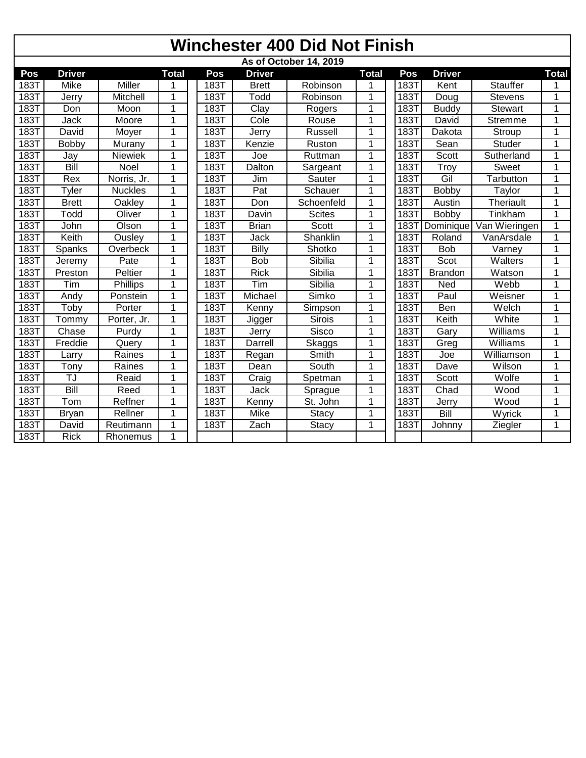|      | <b>Winchester 400 Did Not Finish</b> |                 |                |      |               |                        |              |      |                  |                 |              |  |
|------|--------------------------------------|-----------------|----------------|------|---------------|------------------------|--------------|------|------------------|-----------------|--------------|--|
|      |                                      |                 |                |      |               | As of October 14, 2019 |              |      |                  |                 |              |  |
| Pos  | <b>Driver</b>                        |                 | <b>Total</b>   | Pos  | <b>Driver</b> |                        | <b>Total</b> | Pos  | <b>Driver</b>    |                 | <b>Total</b> |  |
| 183T | Mike                                 | Miller          |                | 183T | <b>Brett</b>  | Robinson               | 1            | 183T | Kent             | <b>Stauffer</b> | 1            |  |
| 183T | Jerry                                | Mitchell        | $\overline{1}$ | 183T | Todd          | Robinson               | $\mathbf{1}$ | 183T | Doug             | <b>Stevens</b>  | $\mathbf{1}$ |  |
| 183T | Don                                  | Moon            | 1              | 183T | Clay          | Rogers                 | $\mathbf{1}$ | 183T | <b>Buddy</b>     | <b>Stewart</b>  | 1            |  |
| 183T | Jack                                 | Moore           | 1              | 183T | Cole          | Rouse                  | 1            | 183T | David            | <b>Stremme</b>  | 1            |  |
| 183T | David                                | Moyer           | 1              | 183T | Jerry         | Russell                | 1            | 183T | Dakota           | Stroup          | 1            |  |
| 183T | Bobby                                | Murany          | 1              | 183T | Kenzie        | Ruston                 | 1            | 183T | Sean             | <b>Studer</b>   | 1            |  |
| 183T | Jay                                  | <b>Niewiek</b>  | 1              | 183T | Joe           | Ruttman                | 1            | 183T | Scott            | Sutherland      | 1            |  |
| 183T | Bill                                 | Noel            | 1              | 183T | Dalton        | Sargeant               | 1            | 183T | Troy             | <b>Sweet</b>    | 1            |  |
| 183T | Rex                                  | Norris, Jr.     | 1              | 183T | Jim           | Sauter                 | 1            | 183T | Gil              | Tarbutton       | 1            |  |
| 183T | Tyler                                | <b>Nuckles</b>  | 1              | 183T | Pat           | Schauer                | $\mathbf{1}$ | 183T | <b>Bobby</b>     | Taylor          | 1            |  |
| 183T | <b>Brett</b>                         | <b>Oakley</b>   | 1              | 183T | Don           | Schoenfeld             | $\mathbf{1}$ | 183T | Austin           | Theriault       | 1            |  |
| 183T | Todd                                 | Oliver          | 1              | 183T | Davin         | <b>Scites</b>          | $\mathbf{1}$ | 183T | <b>Bobby</b>     | Tinkham         | $\mathbf{1}$ |  |
| 183T | John                                 | Olson           | 1              | 183T | <b>Brian</b>  | Scott                  | $\mathbf 1$  | 183T | <b>Dominique</b> | Van Wieringen   | $\mathbf{1}$ |  |
| 183T | Keith                                | <b>Ousley</b>   | 1              | 183T | Jack          | Shanklin               | 1            | 183T | Roland           | VanArsdale      | 1            |  |
| 183T | Spanks                               | Overbeck        | 1              | 183T | <b>Billy</b>  | Shotko                 | $\mathbf{1}$ | 183T | <b>Bob</b>       | Varney          | $\mathbf{1}$ |  |
| 183T | Jeremy                               | Pate            | 1              | 183T | <b>Bob</b>    | Sibilia                | 1            | 183T | Scot             | Walters         | 1            |  |
| 183T | Preston                              | Peltier         | 1              | 183T | <b>Rick</b>   | Sibilia                | 1            | 183T | <b>Brandon</b>   | Watson          | 1            |  |
| 183T | Tim                                  | <b>Phillips</b> | 1              | 183T | Tim           | Sibilia                | 1            | 183T | Ned              | Webb            | 1            |  |
| 183T | Andy                                 | Ponstein        | 1              | 183T | Michael       | Simko                  | 1            | 183T | Paul             | Weisner         | 1            |  |
| 183T | Toby                                 | Porter          | 1              | 183T | Kenny         | Simpson                | 1            | 183T | Ben              | Welch           | $\mathbf{1}$ |  |
| 183T | Tommy                                | Porter, Jr.     | 1              | 183T | Jigger        | Sirois                 | 1            | 183T | Keith            | White           | $\mathbf{1}$ |  |
| 183T | Chase                                | Purdy           | 1              | 183T | Jerry         | Sisco                  | 1            | 183T | Gary             | Williams        | 1            |  |
| 183T | Freddie                              | Query           | 1              | 183T | Darrell       | Skaggs                 | 1            | 183T | Greg             | Williams        | 1            |  |
| 183T | Larry                                | Raines          | 1              | 183T | Regan         | Smith                  | 1            | 183T | Joe              | Williamson      | 1            |  |
| 183T | Tony                                 | Raines          | $\mathbf 1$    | 183T | Dean          | South                  | $\mathbf 1$  | 183T | Dave             | Wilson          | 1            |  |
| 183T | TJ                                   | Reaid           | $\mathbf 1$    | 183T | Craig         | Spetman                | $\mathbf{1}$ | 183T | <b>Scott</b>     | Wolfe           | $\mathbf{1}$ |  |
| 183T | Bill                                 | Reed            | 1              | 183T | Jack          | Sprague                | 1            | 183T | Chad             | Wood            | $\mathbf{1}$ |  |
| 183T | Tom                                  | Reffner         | $\mathbf 1$    | 183T | Kenny         | St. John               | 1            | 183T | Jerry            | Wood            | $\mathbf{1}$ |  |
| 183T | <b>Bryan</b>                         | Rellner         | 1              | 183T | Mike          | <b>Stacy</b>           | 1            | 183T | Bill             | Wyrick          | 1            |  |
| 183T | David                                | Reutimann       | 1              | 183T | Zach          | <b>Stacy</b>           | 1            | 183T | Johnny           | Ziegler         | $\mathbf{1}$ |  |
| 183T | <b>Rick</b>                          | Rhonemus        | 1              |      |               |                        |              |      |                  |                 |              |  |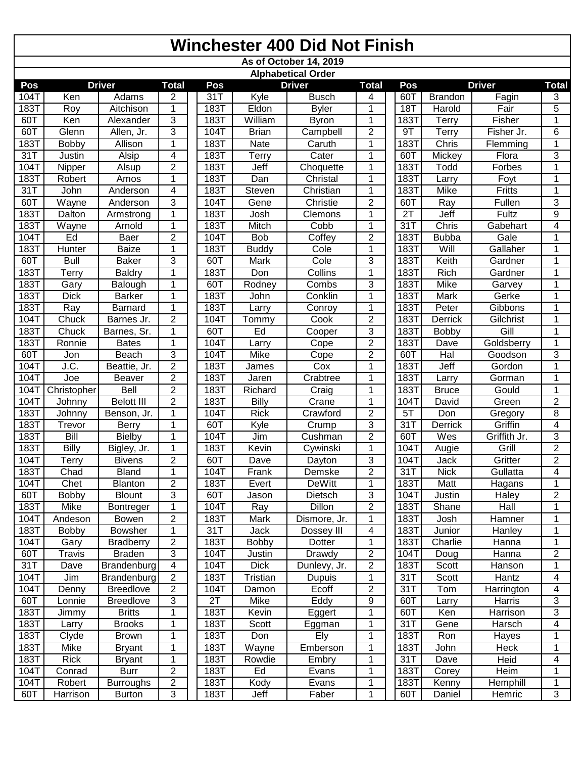|      | <b>Winchester 400 Did Not Finish</b> |                   |                |  |      |                 |                           |                         |  |             |                |               |                         |
|------|--------------------------------------|-------------------|----------------|--|------|-----------------|---------------------------|-------------------------|--|-------------|----------------|---------------|-------------------------|
|      |                                      |                   |                |  |      |                 | As of October 14, 2019    |                         |  |             |                |               |                         |
|      |                                      |                   |                |  |      |                 | <b>Alphabetical Order</b> |                         |  |             |                |               |                         |
| Pos  |                                      | <b>Driver</b>     | <b>Total</b>   |  | Pos  |                 | <b>Driver</b>             | <b>Total</b>            |  | Pos         |                | <b>Driver</b> | <b>Total</b>            |
| 104T | Ken                                  | Adams             | 2              |  | 31T  | Kyle            | <b>Busch</b>              | 4                       |  | 60T         | <b>Brandon</b> | Fagin         | 3                       |
| 183T | Roy                                  | Aitchison         | 1              |  | 183T | Eldon           | <b>Byler</b>              | 1                       |  | <b>18T</b>  | Harold         | Fair          | $\overline{5}$          |
| 60T  | Ken                                  | Alexander         | 3              |  | 183T | William         | Byron                     | $\mathbf{1}$            |  | 183T        | Terry          | Fisher        | 1                       |
| 60T  | Glenn                                | Allen, Jr.        | 3              |  | 104T | <b>Brian</b>    | Campbell                  | $\overline{2}$          |  | 9T          | Terry          | Fisher Jr.    | 6                       |
| 183T | <b>Bobby</b>                         | Allison           | 1              |  | 183T | Nate            | Caruth                    | 1                       |  | 183T        | Chris          | Flemming      | $\mathbf{1}$            |
| 31T  | Justin                               | Alsip             | 4              |  | 183T | Terry           | Cater                     | $\mathbf{1}$            |  | 60T         | Mickey         | Flora         | $\overline{3}$          |
| 104T | Nipper                               | Alsup             | $\overline{2}$ |  | 183T | Jeff            | Choquette                 | 1                       |  | 183T        | Todd           | Forbes        | 1                       |
| 183T | Robert                               | Amos              | 1              |  | 183T | Dan             | Christal                  | $\mathbf{1}$            |  | 1837        | Larry          | Foyt          | 1                       |
| 31T  | John                                 | Anderson          | 4              |  | 183T | Steven          | Christian                 | $\mathbf{1}$            |  | 183T        | Mike           | Fritts        | 1                       |
| 60T  | Wayne                                | Anderson          | 3              |  | 104T | Gene            | Christie                  | $\overline{2}$          |  | 60T         | Ray            | Fullen        | 3                       |
| 183T | Dalton                               | Armstrong         | 1              |  | 183T | Josh            | Clemons                   | 1                       |  | 2T          | Jeff           | Fultz         | 9                       |
| 183T | Wayne                                | Arnold            | 1              |  | 183T | Mitch           | Cobb                      | $\overline{1}$          |  | 31T         | Chris          | Gabehart      | 4                       |
| 104T | Ed                                   | Baer              | $\overline{2}$ |  | 104T | <b>Bob</b>      | Coffey                    | $\overline{2}$          |  | 183T        | <b>Bubba</b>   | Gale          | 1                       |
| 183T | Hunter                               | <b>Baize</b>      | 1              |  | 183T | <b>Buddy</b>    | Cole                      | $\mathbf{1}$            |  | <b>183T</b> | Will           | Gallaher      | 1                       |
| 60T  | <b>Bull</b>                          | <b>Baker</b>      | 3              |  | 60T  | Mark            | Cole                      | 3                       |  | 183T        | Keith          | Gardner       |                         |
| 183T | Terry                                | <b>Baldry</b>     | 1              |  | 183T | Don             | Collins                   | $\mathbf{1}$            |  | 183T        | Rich           | Gardner       | 1                       |
| 183T | Gary                                 | Balough           | 1              |  | 60T  | Rodney          | Combs                     | 3                       |  | 183T        | Mike           | Garvey        | 1                       |
| 183T | <b>Dick</b>                          | <b>Barker</b>     | 1              |  | 183T | John            | Conklin                   | $\mathbf{1}$            |  | 183T        | Mark           | Gerke         | 1                       |
| 183T | Ray                                  | Barnard           | 1              |  | 183T | Larry           | Conroy                    | 1                       |  | 183T        | Peter          | Gibbons       | 1                       |
| 104T | Chuck                                | Barnes Jr.        | $\overline{2}$ |  | 104T | Tommy           | Cook                      | $\overline{2}$          |  | 183T        | Derrick        | Gilchrist     | 1                       |
| 183T | Chuck                                | Barnes, Sr.       | 1              |  | 60T  | Ed              | Cooper                    | 3                       |  | 183T        | Bobby          | Gill          | 1                       |
| 183T | Ronnie                               | <b>Bates</b>      | 1              |  | 104T | Larry           | Cope                      | 2                       |  | 183T        | Dave           | Goldsberry    | 1                       |
| 60T  | Jon                                  | Beach             | 3              |  | 104T | Mike            | Cope                      | 2                       |  | 60T         | Hal            | Goodson       | 3                       |
| 104T | J.C.                                 | Beattie, Jr.      | $\overline{2}$ |  | 183T | James           | Cox                       | 1                       |  | <b>183T</b> | Jeff           | Gordon        | 1                       |
| 104T | Joe                                  | Beaver            | $\overline{2}$ |  | 183T | Jaren           | Crabtree                  | $\mathbf{1}$            |  | 183T        | Larry          | Gorman        | 1                       |
| 104T | Christopher                          | Bell              | $\overline{2}$ |  | 183T | Richard         | Craig                     | 1                       |  | 183T        | <b>Bruce</b>   | Gould         | 1                       |
| 104T | Johnny                               | <b>Belott III</b> | $\overline{2}$ |  | 183T | <b>Billy</b>    | Crane                     | $\mathbf{1}$            |  | 104T        | David          | Green         | $\overline{2}$          |
| 183T | Johnny                               | Benson, Jr.       | 1              |  | 104T | <b>Rick</b>     | Crawford                  | $\overline{c}$          |  | 5T          | Don            | Gregory       | 8                       |
| 183T | Trevor                               | <b>Berry</b>      | 1              |  | 60T  | Kyle            | Crump                     | 3                       |  | 31T         | Derrick        | Griffin       | 4                       |
| 183T | <b>Bill</b>                          | <b>Bielby</b>     | 1              |  | 104T | Jim             | Cushman                   | $\overline{2}$          |  | 60T         | Wes            | Griffith Jr.  | $\overline{3}$          |
| 183T | <b>Billy</b>                         | Bigley, Jr.       | 1              |  | 183T | Kevin           | Cywinski                  | 1                       |  | 104T        | Augie          | Grill         | $\overline{2}$          |
| 104T | Terry                                | <b>Bivens</b>     | $\overline{2}$ |  | 60T  | Dave            | Dayton                    | $\overline{3}$          |  | 104T        | <b>Jack</b>    | Gritter       | $\overline{2}$          |
| 183T | Chad                                 | <b>Bland</b>      | 1              |  | 104T | Frank           | Demske                    | $\overline{2}$          |  | 31T         | <b>Nick</b>    | Gullatta      | 4                       |
| 104T | Chet                                 | Blanton           | $\overline{2}$ |  | 183T | Evert           | <b>DeWitt</b>             | 1                       |  | 183T        | Matt           | Hagans        | 1                       |
| 60T  | <b>Bobby</b>                         | <b>Blount</b>     | 3              |  | 60T  | Jason           | Dietsch                   | 3                       |  | 104T        | Justin         | Haley         | $\overline{2}$          |
| 183T | Mike                                 | Bontreger         | 1              |  | 104T | Ray             | Dillon                    | $\overline{\mathbf{c}}$ |  | 183T        | Shane          | Hall          | 1                       |
| 104T | Andeson                              | Bowen             | $\overline{c}$ |  | 183T | Mark            | Dismore, Jr.              | 1                       |  | 183T        | Josh           | Hamner        | 1                       |
| 183T | <b>Bobby</b>                         | <b>Bowsher</b>    | 1              |  | 31T  | Jack            | Dossey III                | 4                       |  | 183T        | Junior         | Hanley        | 1                       |
| 104T | Gary                                 | <b>Bradberry</b>  | $\overline{c}$ |  | 183T | <b>Bobby</b>    | Dotter                    | 1                       |  | 183T        | Charlie        | Hanna         | 1                       |
| 60T  | Travis                               | <b>Braden</b>     | 3              |  | 104T | Justin          | Drawdy                    | $\mathbf{2}$            |  | 104T        | Doug           | Hanna         | 2                       |
| 31T  | Dave                                 | Brandenburg       | 4              |  | 104T | <b>Dick</b>     | Dunlevy, Jr.              | $\mathbf{2}$            |  | 183T        | Scott          | Hanson        | 1                       |
|      | Jim                                  |                   | $\sqrt{2}$     |  |      |                 |                           |                         |  |             | Scott          |               |                         |
| 104T |                                      | Brandenburg       |                |  | 183T | <b>Tristian</b> | <b>Dupuis</b>             | 1                       |  | 31T         |                | Hantz         | $\overline{4}$          |
| 104T | Denny                                | <b>Breedlove</b>  | $\overline{2}$ |  | 104T | Damon           | Ecoff                     | 2                       |  | 31T         | Tom            | Harrington    | $\overline{\mathbf{4}}$ |
| 60T  | Lonnie                               | <b>Breedlove</b>  | 3              |  | 2T   | Mike            | Eddy                      | 9                       |  | 60T         | Larry          | Harris        | 3                       |
| 183T | Jimmy                                | <b>Britts</b>     | 1              |  | 183T | Kevin           | Eggert                    | 1                       |  | 60T         | Ken            | Harrison      | $\overline{3}$          |
| 183T | Larry                                | <b>Brooks</b>     | 1              |  | 183T | Scott           | Eggman                    | 1                       |  | 31T         | Gene           | Harsch        | $\overline{4}$          |
| 183T | Clyde                                | <b>Brown</b>      | 1              |  | 183T | Don             | Ely                       | 1                       |  | 183T        | Ron            | Hayes         | 1                       |
| 183T | Mike                                 | <b>Bryant</b>     | 1              |  | 183T | Wayne           | Emberson                  | 1                       |  | 183T        | John           | Heck          | 1                       |
| 183T | <b>Rick</b>                          | <b>Bryant</b>     | 1              |  | 183T | Rowdie          | Embry                     | 1                       |  | 31T         | Dave           | Heid          | $\overline{4}$          |
| 104T | Conrad                               | <b>Burr</b>       | $\overline{2}$ |  | 183T | Ed              | Evans                     | 1                       |  | 183T        | Corey          | Heim          | 1                       |
| 104T | Robert                               | <b>Burroughs</b>  | $\overline{c}$ |  | 183T | Kody            | Evans                     | 1                       |  | 183T        | Kenny          | Hemphill      | 1                       |
| 60T  | Harrison                             | <b>Burton</b>     | $\overline{3}$ |  | 183T | Jeff            | Faber                     | 1                       |  | 60T         | Daniel         | Hemric        | $\overline{3}$          |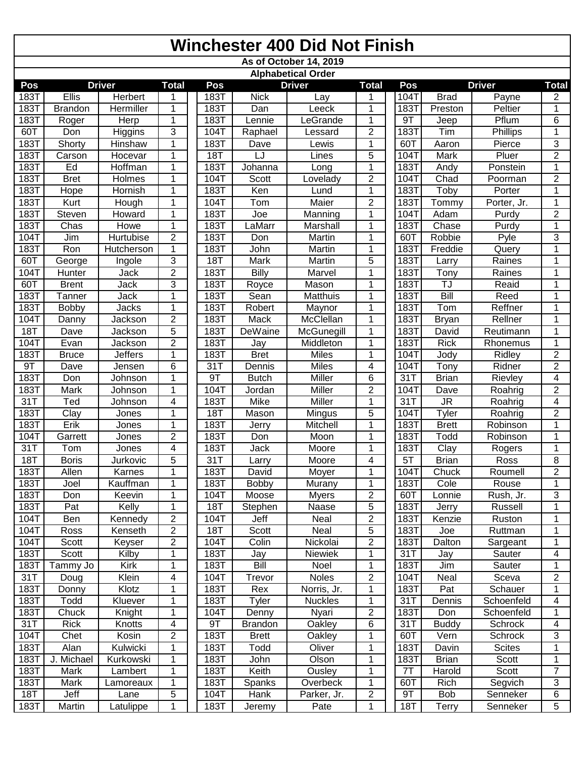|              | <b>Winchester 400 Did Not Finish</b> |                       |                |  |              |                |                           |                     |  |              |                                   |                |                |
|--------------|--------------------------------------|-----------------------|----------------|--|--------------|----------------|---------------------------|---------------------|--|--------------|-----------------------------------|----------------|----------------|
|              |                                      |                       |                |  |              |                | As of October 14, 2019    |                     |  |              |                                   |                |                |
|              |                                      |                       |                |  |              |                | <b>Alphabetical Order</b> |                     |  |              |                                   |                |                |
| Pos          |                                      | <b>Driver</b>         | <b>Total</b>   |  | Pos          |                | <b>Driver</b>             | <b>Total</b>        |  | Pos          |                                   | <b>Driver</b>  | <b>Total</b>   |
| 183T         | Ellis                                | <b>Herbert</b>        | 1              |  | 183T         | <b>Nick</b>    | Lay                       | 1                   |  | 104T         | <b>Brad</b>                       | Payne          | 2              |
| 183T         | <b>Brandon</b>                       | Hermiller             | 1              |  | 183T         | Dan            | Leeck                     | 1                   |  | 183T         | Preston                           | Peltier        | 1              |
| 183T         | Roger                                | Herp                  | 1              |  | 183T         | Lennie         | LeGrande                  | 1                   |  | 9T           | Jeep                              | Pflum          | 6              |
| 60T          | Don                                  | <b>Higgins</b>        | 3              |  | 104T         | Raphael        | Lessard                   | $\overline{2}$      |  | 183T         | Tim                               | Phillips       | 1              |
| 183T         | Shorty                               | <b>Hinshaw</b>        | 1              |  | 183T         | Dave           | Lewis                     | 1                   |  | 60T          | Aaron                             | Pierce         | 3              |
| 183T         | Carson                               | Hocevar               | 1              |  | <b>18T</b>   | LJ             | Lines                     | 5                   |  | 104T         | Mark                              | Pluer          | $\overline{2}$ |
| 183T         | Ed                                   | Hoffman               | 1              |  | 183T         | Johanna        | Long                      | 1                   |  | <b>183T</b>  | Andy                              | Ponstein       |                |
| 183T         | <b>Bret</b>                          | <b>Holmes</b>         | 1              |  | 104T         | <b>Scott</b>   | Lovelady                  | $\overline{2}$      |  | 104T         | Chad                              | Poorman        | $\overline{2}$ |
| 183T<br>183T | Hope<br>Kurt                         | Hornish               | 1<br>1         |  | 183T<br>104T | Ken            | Lund<br>Maier             | 1<br>$\overline{2}$ |  | 183T<br>183T | Toby                              | Porter         | 1<br>1         |
| 183T         | Steven                               | Hough                 |                |  | 183T         | Tom            |                           |                     |  | 104T         | Tommy<br>Adam                     | Porter, Jr.    | $\overline{2}$ |
| 183T         | Chas                                 | Howard<br><b>Howe</b> | 1<br>1         |  | 183T         | Joe<br>LaMarr  | Manning<br>Marshall       | 1<br>1              |  | 183T         | Chase                             | Purdy<br>Purdy | 1              |
| 104T         | Jim                                  | Hurtubise             | $\overline{2}$ |  | 183T         | Don            | Martin                    | 1                   |  | 60T          | Robbie                            | Pyle           | $\overline{3}$ |
| 183T         | Ron                                  | Hutcherson            | 1              |  | 183T         | John           | Martin                    | 1                   |  | <b>183T</b>  | Freddie                           | Query          |                |
| 60T          | George                               | Ingole                | 3              |  | 18T          | Mark           | Martin                    | $\overline{5}$      |  | <b>183T</b>  | Larry                             | Raines         | 1              |
| 104T         | Hunter                               | Jack                  | $\overline{2}$ |  | 183T         | <b>Billy</b>   | Marvel                    | $\overline{1}$      |  | <b>183T</b>  | Tony                              | Raines         | 1              |
| 60T          | <b>Brent</b>                         | Jack                  | 3              |  | 183T         | Royce          | Mason                     | 1                   |  | 183T         | TJ                                | Reaid          | 1              |
| 183T         | Tanner                               | Jack                  | 1              |  | 183T         | Sean           | Matthuis                  | 1                   |  | 183T         | Bill                              | Reed           | 1              |
| 183T         | Bobby                                | Jacks                 | 1              |  | 183T         | Robert         | Maynor                    | 1                   |  | 183T         | Tom                               | Reffner        |                |
| 104T         | Danny                                | Jackson               | $\overline{2}$ |  | 183T         | Mack           | McClellan                 | 1                   |  | <b>183T</b>  | <b>Bryan</b>                      | Rellner        |                |
| <b>18T</b>   | Dave                                 | Jackson               | 5              |  | 183T         | DeWaine        | McGunegill                | 1                   |  | 183T         | David                             | Reutimann      |                |
| 104T         | Evan                                 | Jackson               | $\overline{2}$ |  | 183T         | Jay            | Middleton                 | 1                   |  | 183T         | <b>Rick</b>                       | Rhonemus       | 1              |
| 183T         | <b>Bruce</b>                         | <b>Jeffers</b>        | 1              |  | 183T         | <b>Bret</b>    | <b>Miles</b>              | 1                   |  | 104T         | Jody                              | Ridley         | $\overline{2}$ |
| 9T           | Dave                                 | Jensen                | 6              |  | 31T          | Dennis         | <b>Miles</b>              | 4                   |  | 104T         | Tony                              | Ridner         | $\overline{2}$ |
| 183T         | Don                                  | Johnson               | 1              |  | 9T           | <b>Butch</b>   | Miller                    | 6                   |  | 31T          | <b>Brian</b>                      | Rievley        | 4              |
| 183T         | <b>Mark</b>                          | Johnson               | 1              |  | 104T         | Jordan         | Miller                    | $\overline{2}$      |  | 104T         | Dave                              | Roahrig        | $\overline{2}$ |
| 31T          | Ted                                  | Johnson               | 4              |  | 183T         | Mike           | Miller                    | 1                   |  | 31T          | $\overline{\mathsf{J}\mathsf{R}}$ | Roahrig        | 4              |
| 183T         | Clay                                 | Jones                 | 1              |  | <b>18T</b>   | Mason          | Mingus                    | 5                   |  | 104T         | Tyler                             | Roahrig        | $\overline{2}$ |
| 183T         | Erik                                 | Jones                 | 1              |  | 183T         | Jerry          | Mitchell                  | 1                   |  | 183T         | <b>Brett</b>                      | Robinson       | 1              |
| 104T         | Garrett                              | Jones                 | $\overline{2}$ |  | 183T         | Don            | Moon                      | 1                   |  | 183T         | Todd                              | Robinson       | 1              |
| 31T          | Tom                                  | Jones                 | 4              |  | 183T         | Jack           | Moore                     | 1                   |  | 183T         | Clay                              | Rogers         | 1              |
| 18T          | <b>Boris</b>                         | Jurkovic              | 5              |  | 31T          | Larry          | Moore                     | 4                   |  | 5T           | <b>Brian</b>                      | Ross           | 8              |
| 183T         | Allen                                | Karnes                | 1              |  | 183T         | David          | Moyer                     | 1                   |  | 104T         | Chuck                             | Roumell        | 2              |
| 183T         | Joel                                 | Kauffman              | 1              |  | 183T         | <b>Bobby</b>   | Murany                    | 1                   |  | 183T         | Cole                              | Rouse          | 1              |
| 183T         | Don                                  | Keevin                | 1              |  | 104T         | Moose          | <b>Myers</b>              | $\overline{2}$      |  | 60T          | Lonnie                            | Rush, Jr.      | 3              |
| 183T         | Pat                                  | Kelly                 | 1              |  | <b>18T</b>   | Stephen        | Naase                     | 5                   |  | 183T         | Jerry                             | Russell        |                |
| 104T         | Ben                                  | Kennedy               | $\overline{2}$ |  | 104T         | Jeff           | Neal                      | $\overline{c}$      |  | 183T         | Kenzie                            | Ruston         |                |
| 104T         | Ross                                 | Kenseth               | $\overline{2}$ |  | <b>18T</b>   | Scott          | Neal                      | $\overline{5}$      |  | 183T         | Joe                               | Ruttman        |                |
| 104T         | Scott                                | Keyser                | $\overline{2}$ |  | 104T         | Colin          | Nickolai                  | $\overline{2}$      |  | 183T         | Dalton                            | Sargeant       | 1              |
| 183T         | Scott                                | Kilby                 | 1              |  | 183T         | Jay            | Niewiek                   | 1                   |  | 31T          | Jay                               | Sauter         | 4              |
| 183T         | Tammy Jo                             | Kirk                  | 1              |  | 183T         | <b>Bill</b>    | Noel                      | $\mathbf{1}$        |  | 183T         | Jim                               | Sauter         |                |
| 31T          | Doug                                 | Klein                 | 4              |  | 104T         | Trevor         | Noles                     | $\overline{2}$      |  | 104T         | Neal                              | Sceva          | $\overline{2}$ |
| 183T         | Donny                                | Klotz                 | 1              |  | 183T         | Rex            | Norris, Jr.               | 1                   |  | 183T         | Pat                               | Schauer        | 1              |
| 183T         | Todd                                 | Kluever               | 1              |  | 183T         | Tyler          | <b>Nuckles</b>            | 1                   |  | 31T          | Dennis                            | Schoenfeld     | 4              |
| 183T         | Chuck                                | Knight                | 1              |  | 104T         | Denny          | Nyari                     | $\overline{c}$      |  | 183T         | Don                               | Schoenfeld     |                |
| 31T          | <b>Rick</b>                          | Knotts                | 4              |  | 9T           | <b>Brandon</b> | Oakley                    | 6                   |  | 31T          | <b>Buddy</b>                      | Schrock        | 4              |
| 104T         | Chet                                 | Kosin                 | $\overline{2}$ |  | 183T         | <b>Brett</b>   | Oakley                    | 1                   |  | 60T          | Vern                              | Schrock        | $\overline{3}$ |
| 183T         | Alan                                 | Kulwicki              | 1              |  | 183T         | Todd           | Oliver                    | 1                   |  | 183T         | Davin                             | <b>Scites</b>  | 1              |
| 183T         | J. Michael                           | Kurkowski             | 1              |  | 183T         | John           | Olson                     | 1                   |  | 183T         | <b>Brian</b>                      | Scott          |                |
| 183T         | Mark                                 | Lambert               | 1              |  | 183T         | Keith          | Ousley                    | 1                   |  | 7T           | Harold                            | Scott          | $\overline{7}$ |
| 183T         | Mark                                 | Lamoreaux             | 1              |  | 183T         | Spanks         | Overbeck                  | 1                   |  | 60T          | Rich                              | Segvich        | 3              |
| 18T          | Jeff                                 | Lane                  | 5              |  | 104T         | Hank           | Parker, Jr.               | $\overline{c}$      |  | 9T           | Bob                               | Senneker       | 6              |
| 183T         | <b>Martin</b>                        | Latulippe             | 1              |  | 183T         | Jeremy         | Pate                      | 1                   |  | 18T          | Terry                             | Senneker       | $\overline{5}$ |